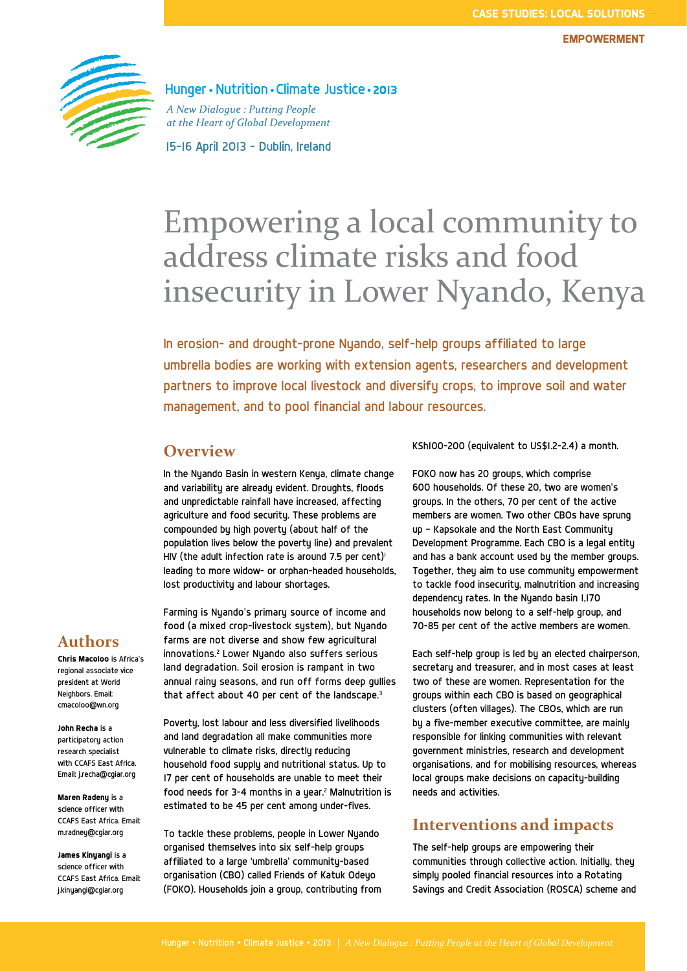

Hunger • Nutrition • Climate Justice • 2013

A New Dialogue: Putting People at the Heart of Global Development

15-16 April 2013 - Dublin, Ireland

# Empowering a local community to address climate risks and food insecurity in Lower Nyando, Kenya

In erosion- and drought-prone Nyando, self-help groups affiliated to large umbrella bodies are working with extension agents, researchers and development partners to improve local livestock and diversify crops, to improve soil and water management, and to pool financial and labour resources.

# **Overview**

In the Nyando Basin in western Kenya, climate change and variability are already evident. Droughts, floods and unpredictable rainfall have increased, affecting agriculture and food security. These problems are compounded by high poverty (about half of the population lives below the poverty line) and prevalent HIV (the adult infection rate is around 7.5 per cent)<sup>1</sup> leading to more widow- or orphan-headed households, lost productivity and labour shortages.

Farming is Nyando's primary source of income and food (a mixed crop-livestock sustem), but Nuando farms are not diverse and show few agricultural innovations.2 Lower Nyando also suffers serious land degradation. Soil erosion is rampant in two annual rainy seasons, and run off forms deep gullies that affect about 40 per cent of the landscape.<sup>3</sup>

Poverty, lost labour and less diversified livelihoods and land degradation all make communities more vulnerable to climate risks, directly reducing household food supply and nutritional status. Up to 17 per cent of households are unable to meet their food needs for 3-4 months in a year. $2$  Malnutrition is estimated to be 45 per cent among under-fives.

To tackle these problems, people in Lower Nyando organised themselves into six self-help groups affiliated to a large 'umbrella' community-based organisation (CBO) called Friends of Katuk Odeyo (FOKO). Households join a group, contributing from KSh100–200 (equivalent to US\$1.2–2.4) a month.

FOKO now has 20 groups, which comprise 600 households. Of these 20, two are women's groups. In the others, 70 per cent of the active members are women. Two other CBOs have sprung up — Kapsokale and the North East Community Development Programme. Each CBO is a legal entity and has a bank account used by the member groups. Together, they aim to use community empowerment to tackle food insecurity, malnutrition and increasing dependency rates. In the Nyando basin 1,170 households now belong to a self-help group, and 70-85 per cent of the active members are women.

Each self-help group is led by an elected chairperson, secretary and treasurer, and in most cases at least two of these are women. Representation for the groups within each CBO is based on geographical clusters (often villages). The CBOs, which are run by a five-member executive committee, are mainly responsible for linking communities with relevant government ministries, research and development organisations, and for mobilising resources, whereas local groups make decisions on capacity-building needs and activities.

## **Interventions and impacts**

The self-help groups are empowering their communities through collective action. Initially, they simply pooled financial resources into a Rotating Savings and Credit Association (ROSCA) scheme and

# **Authors**

**Chris Macoloo** is Africa's regional associate vice president at World Neighbors. Email: cmacoloo@wn.org

**John Recha** is a participatory action research specialist with CCAFS East Africa. Email: j.recha@cgiar.org

**Maren Radeny** is a science officer with CCAFS East Africa. Email: m.radney@cgiar.org

**James Kinyangi** is a science officer with CCAFS East Africa. Email: j.kinyangi@cgiar.org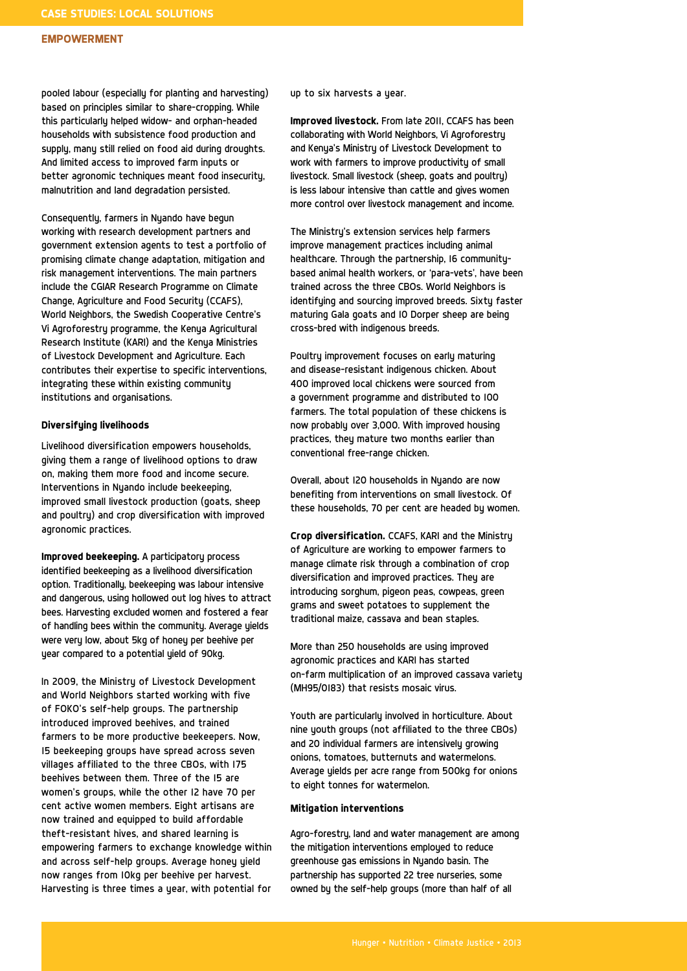#### **EMPOWERMENT**

pooled labour (especially for planting and harvesting) based on principles similar to share-cropping. While this particularly helped widow- and orphan-headed households with subsistence food production and supply, many still relied on food aid during droughts. And limited access to improved farm inputs or better agronomic techniques meant food insecurity, malnutrition and land degradation persisted.

Consequently, farmers in Nyando have begun working with research development partners and government extension agents to test a portfolio of promising climate change adaptation, mitigation and risk management interventions. The main partners include the CGIAR Research Programme on Climate Change, Agriculture and Food Security (CCAFS), World Neighbors, the Swedish Cooperative Centre's Vi Agroforestry programme, the Kenya Agricultural Research Institute (KARI) and the Kenya Ministries of Livestock Development and Agriculture. Each contributes their expertise to specific interventions, integrating these within existing community institutions and organisations.

#### **Diversifying livelihoods**

Livelihood diversification empowers households, giving them a range of livelihood options to draw on, making them more food and income secure. Interventions in Nyando include beekeeping, improved small livestock production (goats, sheep and poultry) and crop diversification with improved agronomic practices.

**Improved beekeeping.** A participatory process identified beekeeping as a livelihood diversification option. Traditionally, beekeeping was labour intensive and dangerous, using hollowed out log hives to attract bees. Harvesting excluded women and fostered a fear of handling bees within the community. Average yields were very low, about 5kg of honey per beehive per year compared to a potential yield of 90kg.

In 2009, the Ministry of Livestock Development and World Neighbors started working with five of FOKO's self-help groups. The partnership introduced improved beehives, and trained farmers to be more productive beekeepers. Now, 15 beekeeping groups have spread across seven villages affiliated to the three CBOs, with 175 beehives between them. Three of the 15 are women's groups, while the other 12 have 70 per cent active women members. Eight artisans are now trained and equipped to build affordable theft-resistant hives, and shared learning is empowering farmers to exchange knowledge within and across self-help groups. Average honey yield now ranges from 10kg per beehive per harvest. Harvesting is three times a year, with potential for

up to six harvests a year.

**Improved livestock.** From late 2011, CCAFS has been collaborating with World Neighbors, Vi Agroforestry and Kenya's Ministry of Livestock Development to work with farmers to improve productivity of small livestock. Small livestock (sheep, goats and poultry) is less labour intensive than cattle and gives women more control over livestock management and income.

The Ministry's extension services help farmers improve management practices including animal healthcare. Through the partnership, 16 communitybased animal health workers, or 'para-vets', have been trained across the three CBOs. World Neighbors is identifying and sourcing improved breeds. Sixty faster maturing Gala goats and 10 Dorper sheep are being cross-bred with indigenous breeds.

Poultry improvement focuses on early maturing and disease-resistant indigenous chicken. About 400 improved local chickens were sourced from a government programme and distributed to 100 farmers. The total population of these chickens is now probably over 3,000. With improved housing practices, they mature two months earlier than conventional free-range chicken.

Overall, about 120 households in Nyando are now benefiting from interventions on small livestock. Of these households, 70 per cent are headed by women.

**Crop diversification.** CCAFS, KARI and the Ministry of Agriculture are working to empower farmers to manage climate risk through a combination of crop diversification and improved practices. They are introducing sorghum, pigeon peas, cowpeas, green grams and sweet potatoes to supplement the traditional maize, cassava and bean staples.

More than 250 households are using improved agronomic practices and KARI has started on-farm multiplication of an improved cassava variety (MH95/0183) that resists mosaic virus.

Youth are particularly involved in horticulture. About nine youth groups (not affiliated to the three CBOs) and 20 individual farmers are intensively growing onions, tomatoes, butternuts and watermelons. Average yields per acre range from 500kg for onions to eight tonnes for watermelon.

#### **Mitigation interventions**

Agro-forestry, land and water management are among the mitigation interventions employed to reduce greenhouse gas emissions in Nyando basin. The partnership has supported 22 tree nurseries, some owned by the self-help groups (more than half of all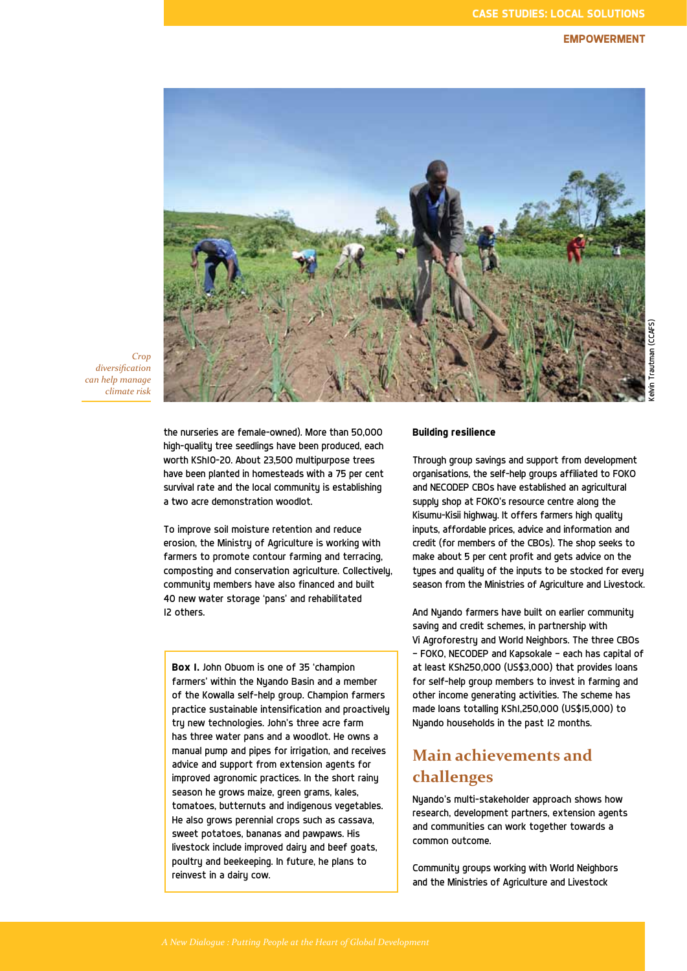## **EMPOWERMENT**



*Crop diversification can help manage climate risk* 

> the nurseries are female-owned). More than 50,000 high-quality tree seedlings have been produced, each worth KSh10-20. About 23,500 multipurpose trees have been planted in homesteads with a 75 per cent survival rate and the local community is establishing a two acre demonstration woodlot.

To improve soil moisture retention and reduce erosion, the Ministry of Agriculture is working with farmers to promote contour farming and terracing, composting and conservation agriculture. Collectively, community members have also financed and built 40 new water storage 'pans' and rehabilitated 12 others.

**Box 1.** John Obuom is one of 35 'champion farmers' within the Nyando Basin and a member of the Kowalla self-help group. Champion farmers practice sustainable intensification and proactively try new technologies. John's three acre farm has three water pans and a woodlot. He owns a manual pump and pipes for irrigation, and receives advice and support from extension agents for improved agronomic practices. In the short rainy season he grows maize, green grams, kales, tomatoes, butternuts and indigenous vegetables. He also grows perennial crops such as cassava, sweet potatoes, bananas and pawpaws. His livestock include improved dairy and beef goats, poultry and beekeeping. In future, he plans to reinvest in a dairy cow.

## **Building resilience**

Through group savings and support from development organisations, the self-help groups affiliated to FOKO and NECODEP CBOs have established an agricultural supply shop at FOKO's resource centre along the Kisumu-Kisii highway. It offers farmers high quality inputs, affordable prices, advice and information and credit (for members of the CBOs). The shop seeks to make about 5 per cent profit and gets advice on the types and quality of the inputs to be stocked for every season from the Ministries of Agriculture and Livestock.

And Nyando farmers have built on earlier community saving and credit schemes, in partnership with Vi Agroforestry and World Neighbors. The three CBOs — FOKO, NECODEP and Kapsokale — each has capital of at least KSh250,000 (US\$3,000) that provides loans for self-help group members to invest in farming and other income generating activities. The scheme has made loans totalling KSh1,250,000 (US\$15,000) to Nyando households in the past 12 months.

# **Main achievements and challenges**

Nyando's multi-stakeholder approach shows how research, development partners, extension agents and communities can work together towards a common outcome.

Community groups working with World Neighbors and the Ministries of Agriculture and Livestock